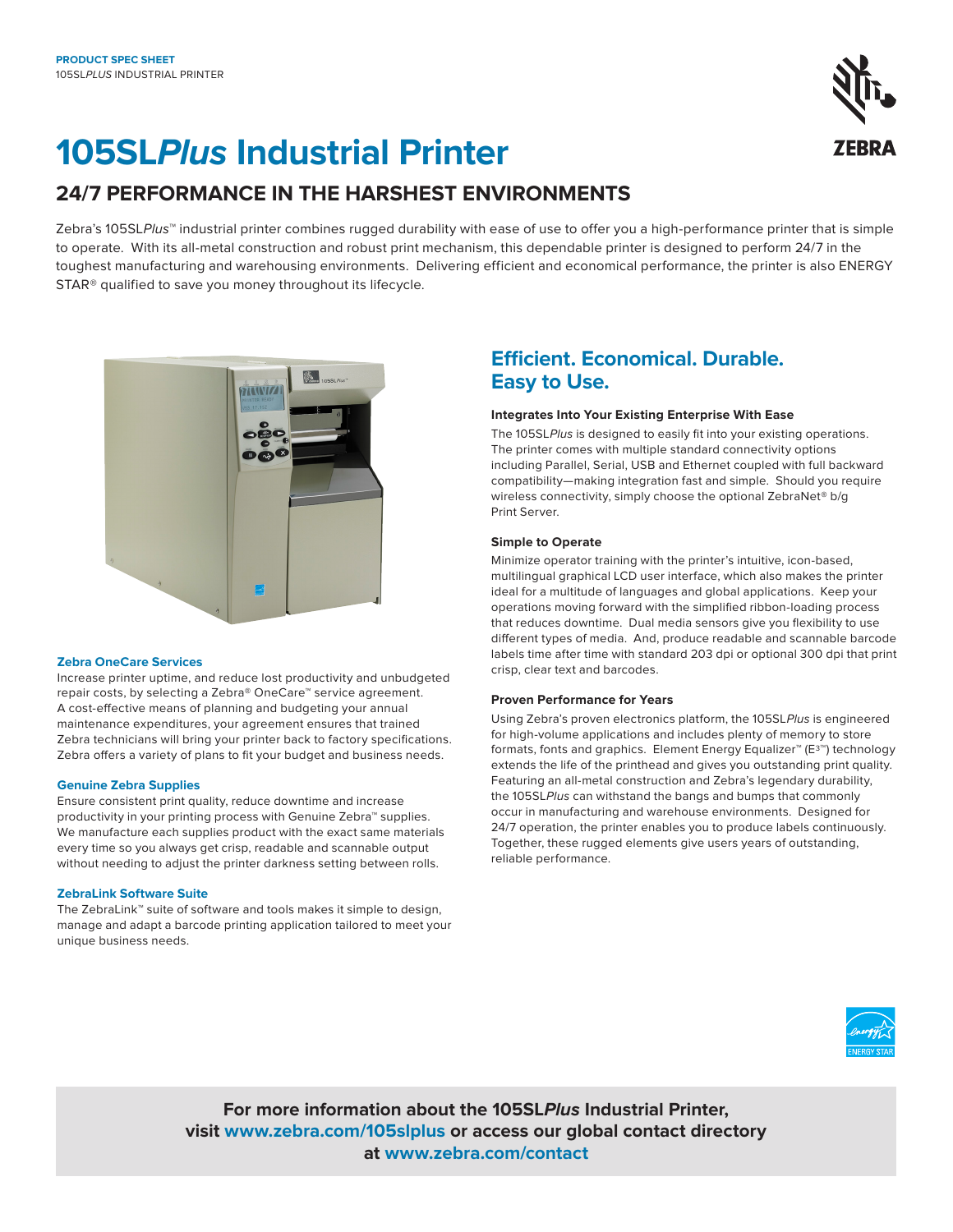# **105SLPlus Industrial Printer**

## **24/7 PERFORMANCE IN THE HARSHEST ENVIRONMENTS**

Zebra's 105SLP/us<sup>™</sup> industrial printer combines rugged durability with ease of use to offer you a high-performance printer that is simple to operate. With its all-metal construction and robust print mechanism, this dependable printer is designed to perform 24/7 in the toughest manufacturing and warehousing environments. Delivering efficient and economical performance, the printer is also ENERGY STAR® qualified to save you money throughout its lifecycle.



#### **Zebra OneCare Services**

Increase printer uptime, and reduce lost productivity and unbudgeted repair costs, by selecting a Zebra® OneCare™ service agreement. A cost-effective means of planning and budgeting your annual maintenance expenditures, your agreement ensures that trained Zebra technicians will bring your printer back to factory specifications. Zebra offers a variety of plans to fit your budget and business needs.

#### **Genuine Zebra Supplies**

Ensure consistent print quality, reduce downtime and increase productivity in your printing process with Genuine Zebra™ supplies. We manufacture each supplies product with the exact same materials every time so you always get crisp, readable and scannable output without needing to adjust the printer darkness setting between rolls.

#### **ZebraLink Software Suite**

The ZebraLink™ suite of software and tools makes it simple to design, manage and adapt a barcode printing application tailored to meet your unique business needs.

## **Efficient. Economical. Durable. Easy to Use.**

#### **Integrates Into Your Existing Enterprise With Ease**

The 105SLPlus is designed to easily fit into your existing operations. The printer comes with multiple standard connectivity options including Parallel, Serial, USB and Ethernet coupled with full backward compatibility—making integration fast and simple. Should you require wireless connectivity, simply choose the optional ZebraNet® b/g Print Server.

#### **Simple to Operate**

Minimize operator training with the printer's intuitive, icon-based, multilingual graphical LCD user interface, which also makes the printer ideal for a multitude of languages and global applications. Keep your operations moving forward with the simplified ribbon-loading process that reduces downtime. Dual media sensors give you flexibility to use different types of media. And, produce readable and scannable barcode labels time after time with standard 203 dpi or optional 300 dpi that print crisp, clear text and barcodes.

#### **Proven Performance for Years**

Using Zebra's proven electronics platform, the 105SLPlus is engineered for high-volume applications and includes plenty of memory to store formats, fonts and graphics. Element Energy Equalizer™ (E3™) technology extends the life of the printhead and gives you outstanding print quality. Featuring an all-metal construction and Zebra's legendary durability, the 105SLPlus can withstand the bangs and bumps that commonly occur in manufacturing and warehouse environments. Designed for 24/7 operation, the printer enables you to produce labels continuously. Together, these rugged elements give users years of outstanding, reliable performance.



**For more information about the 105SLPlus Industrial Printer, visit [www.zebra.com/](https://www.zebra.com/us/en/products/printers/industrial/105sl.html)105slplus or access our global contact directory at [www.zebra.com/contact](http://www.zebra.com/contact)**